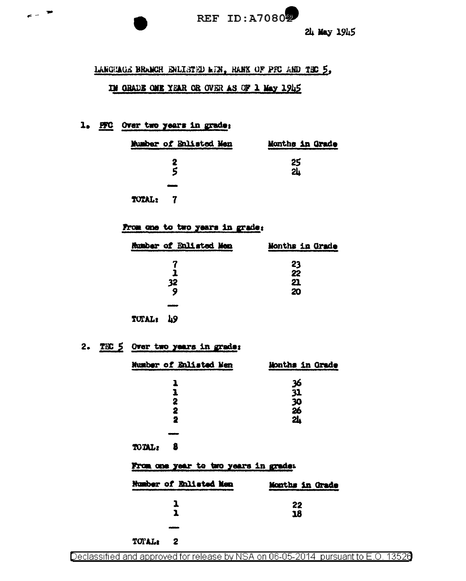

## LANGEAGE BRANCH ENLISTED LTN, HANK OF PFC AND THO 5,

## IN GRADE ONE YEAR OR OVER AS OF 1 May 1945

# 1. HIC Over two years in grade;

 $\epsilon = \pm$ 

| Mumber of Enlisted Men | Months in Grade |
|------------------------|-----------------|
| 2<br>ς                 | ر<br>24ء<br>24ء |
| سنند                   |                 |
| TOTAL:<br>- 7          |                 |

#### From one to two years in grade:

| Number of Bnlisted Men | Months in Grade |
|------------------------|-----------------|
|                        | 23              |
|                        | 22              |
| 32                     | 21              |
| 9                      | 20              |
|                        |                 |
| TUTAL:<br>- 76         |                 |

# 2. TEC 5 Over two years in grade:

| Number of Enlisted Men               | Months in Grade     |
|--------------------------------------|---------------------|
| ı                                    | 36                  |
| 1                                    | 31                  |
| 2                                    | $\frac{1}{26}$      |
| 2<br>2                               | $\ddot{\mathbf{a}}$ |
|                                      |                     |
| TOTAL:<br>- 8                        |                     |
| From one year to two years in grade: |                     |
| Number of Enlisted Men               | Months in Grade     |
| 1                                    | 22                  |
| 1                                    | 18                  |
|                                      |                     |
| <b>TITHAT.</b>                       |                     |

Declassified and approved for release by NSA on 06-05-2014 pursuant to E.O. 13520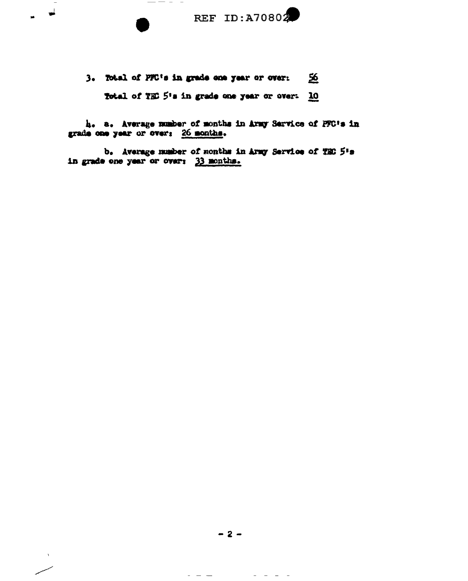

3. Total of PFC's in grade one year or over: - 56 Total of TEC 5's in grade one year or over: 10

 $\frac{1}{2} \left( \frac{1}{2} \right) \left( \frac{1}{2} \right) \left( \frac{1}{2} \right) \left( \frac{1}{2} \right) \left( \frac{1}{2} \right) \left( \frac{1}{2} \right) \left( \frac{1}{2} \right) \left( \frac{1}{2} \right) \left( \frac{1}{2} \right) \left( \frac{1}{2} \right) \left( \frac{1}{2} \right) \left( \frac{1}{2} \right) \left( \frac{1}{2} \right) \left( \frac{1}{2} \right) \left( \frac{1}{2} \right) \left( \frac{1}{2} \right) \left( \frac$ 

 $\overrightarrow{ }$ 

h. a. Average number of months in Army Service of PFC's in grade one year or over: 26 months.

b. Average number of months in Army Service of TEO 5's in grade one year or over: 33 months.

 $-2-$ 

 $\begin{array}{cccccccccccccc} \bot & \bot & \bot & \bot & \bot & \bot \end{array}$ 

 $\hspace{0.1cm} - \hspace{0.1cm} - \hspace{0.1cm} -$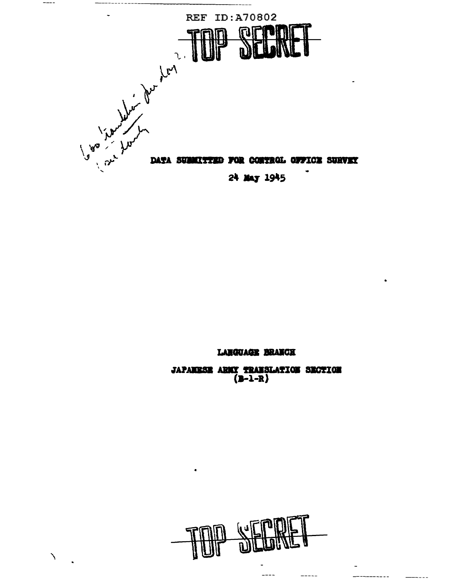

 $---$ 

 $\lambda$ 

# LANGUAGE BRANCH

**JAPANESE ARMY TRANSLATION SECTION**<br>(B-1-R)



L.,

-----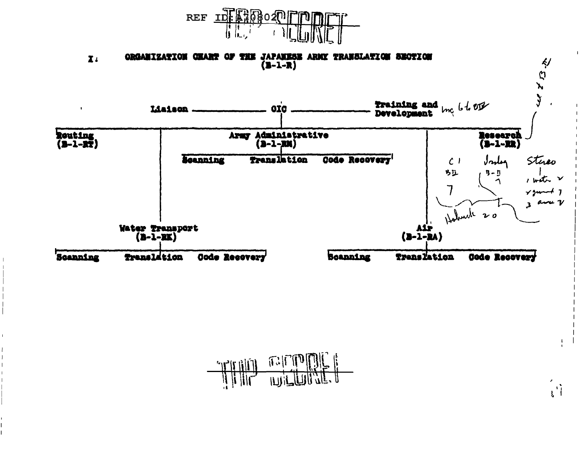



 $\mathbf{L}$ 

 $\mathbf{u}^{\dagger}$ 

 $\mathbb{E}|\mathbb{E}[\mathbf{0}]$  $T$  $T$  $T$  $T$  $T$  $T$  $T$  $T$  $T$  $T$ ILIN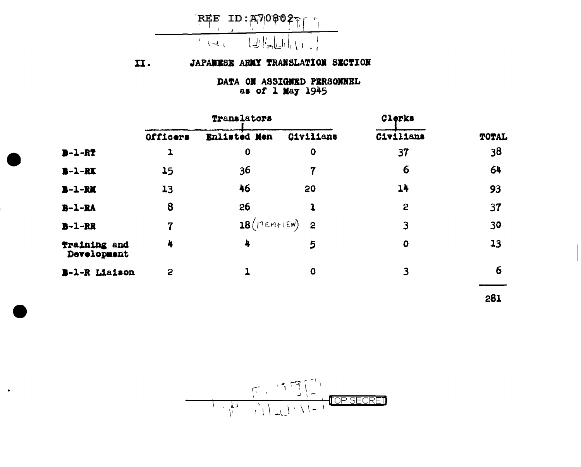

#### JAPANESE ARMY TRANSLATION SECTION II.

DATA ON ASSIGNED PERSONNEL as of 1 May 1945

|                             |          | Translators                 |           | Clerks      |       |
|-----------------------------|----------|-----------------------------|-----------|-------------|-------|
|                             | Officers | Enlisted Men                | Civilians | Civilians   | TOTAL |
| $B - 1 - RT$                |          | $\mathbf 0$                 | $\bf{0}$  | 37          | 38    |
| $B - 1 - RK$                | 15       | 36                          | 7         | 6           | 64    |
| $B - 1 - RN$                | 13       | 46                          | 20        | 14          | 93    |
| $B - 1 - RA$                | 8        | 26                          |           | 2           | 37    |
| $B - 1 - RR$                | 7        | $18(17 \epsilon M + 15N)$ 2 |           | 3           | 30    |
| Training and<br>Development | 4        | 4                           | 5         | $\mathbf 0$ | 13    |
| B-1-R Liaison               | 2        |                             | $\bf{O}$  | 3           | 6     |
|                             |          |                             |           |             |       |

281

 $\bullet$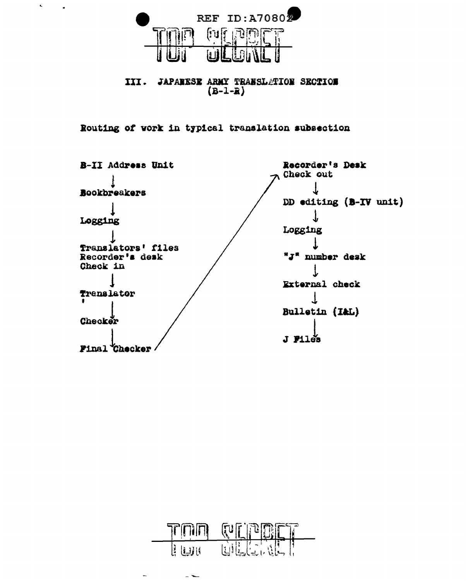

 $\mathbf{c}$ 

 $\sim$ 

III. JAPANESE ARMY TRANSLATION SECTION  $(B-1-R)$ 

Routing of work in typical translation subsection





 $-$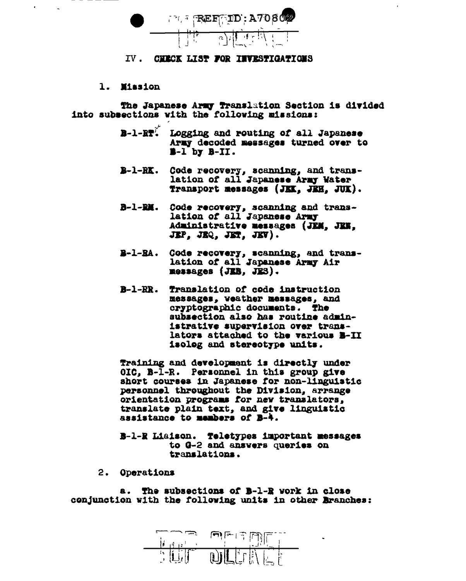

#### IV. CHECK LIST FOR INVESTIGATIONS

1. Mission

The Japanese Army Translation Section is divided into subsections with the following missions:

- B-1-RT. Logging and routing of all Japanese Army decoded messages turned over to  $B-I$  by  $B-II$ .
- B-1-RK. Code recovery, scanning, and translation of all Japanese Army Water Transport messages (JKK, JKH, JUK).
- B-1-RM. Code recovery, scanning and translation of all Japanese Army Administrative messages (JEM. JEN. JEP. JEQ. JET. JEV).
- B-1-RA. Code recovery, scanning, and translation of all Japanese Army Air messages (JEB, JES).
- B-1-RR. Translation of code instruction messages, weather messages, and cryptographic documents. The subsection also has routine administrative supervision over translators attached to the various B-II isolog and stereotype units.

Training and development is directly under OIC, B-1-R. Personnel in this group give short courses in Japanese for non-linguistic personnel throughout the Division, arrange orientation programs for new translators, translate plain text, and give linguistic assistance to members of B-4.

B-1-R Liaison. Teletypes important messages to G-2 and answers queries on translations.

2. Operations

a. The subsections of B-1-R work in close conjunction with the following units in other Branches:

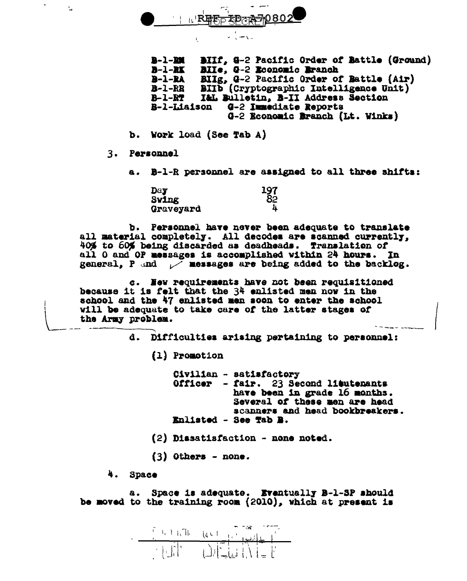REFLED AND 802

ن روستان ب

 $B-1-DH$ BIIf, G-2 Pacific Order of Battle (Ground)  $B-1-RT$ BIIe, 9-2 Rooncmic Branch BIIg, Q-2 Pacific Order of Battle (Air)  $B-1-RA$  $B - 1 - RR$ BIID (Cryptographic Intelligence Unit)  $B-1-PT$ I&L Bulletin, B-II Address Section **B-1-Liaison** G-2 Immediate Reports G-2 Economic Branch (Lt. Winks)

- b. Work load (See Tab A)
- 3. Personnel

 $\bullet$ 

r.

a. B-1-R personnel are assigned to all three shifts:

| Day       | $\frac{197}{82}$ |
|-----------|------------------|
| Swing     |                  |
| Graveyard | 4                |

b. Personnel have never been adequate to translate all material completely. All decodes are scanned currently, 40% to 60% being discarded as deadheads. Translation of all 0 and OP messages is accomplished within 24 hours. In general, P and  $\nu^T$  messages are being added to the backlog.

c. Hew requirements have not been requisitioned because it is felt that the 34 enlisted men now in the school and the 47 enlisted men soon to enter the achool will be adequate to take care of the latter stages of the Army problem.

d. Difficulties arising pertaining to personnel:

(1) Promotion

Civilian - satisfactory Officer - fair. 23 Second lieutenants have been in grade 16 months. Several of these men are head scanners and head bookbreakers. Enlisted - See Tab B.

- (2) Dissatisfaction none noted.
- $(3)$  Others none.

4. Space

a. Space is adequate. Eventually B-1-SP should be moved to the training room (2010), which at present is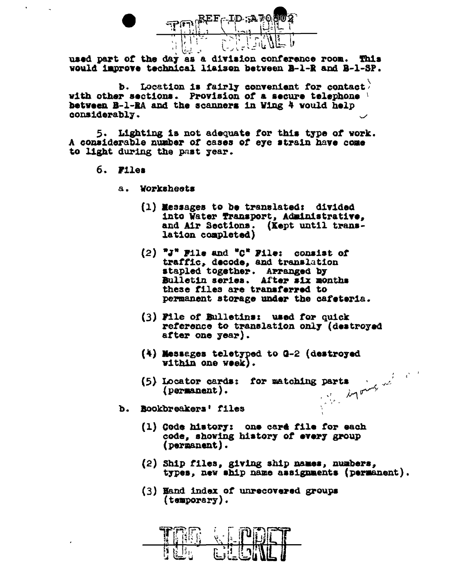

used part of the day as a division conference room. This would improve technical liaison between B-1-R and B-1-SP.

b. Location is fairly convenient for contact. with other sections. Provision of a secure telephone between B-1-RA and the scanners in Wing 4 would help considerably.

5. Lighting is not adequate for this type of work. A considerable number of cases of eye strain have come to light during the past year.

- 6. Files
	- a. Worksheets
		- (1) Messages to be translated: divided into Water Transport, Administrative, and Air Sections. (Kept until translation completed)
		- $(2)$  "J" File and "C" File: consist of traffic, decode, and translation stapled together. Arranged by Bulletin series. After six months these files are transferred to permanent storage under the cafeteria.
		- (3) File of Bulletins: used for quick reference to translation only (destroyed after one year).
		- $(4)$  Messages teletyped to Q-2 (destroyed within one week).
		- (5) Locator cards: for matching parts (permanent).<br>Rookbreakers' files
	- Rookbreakers' files Ъ.
		- (1) Code history: one card file for each code, showing history of every group (permanent).
		- (2) Ship files, giving ship names, numbers, types, new ship name assignments (permanent).
		- (3) Hand index of unrecovered groups  ${\rm (temporary)}$ .

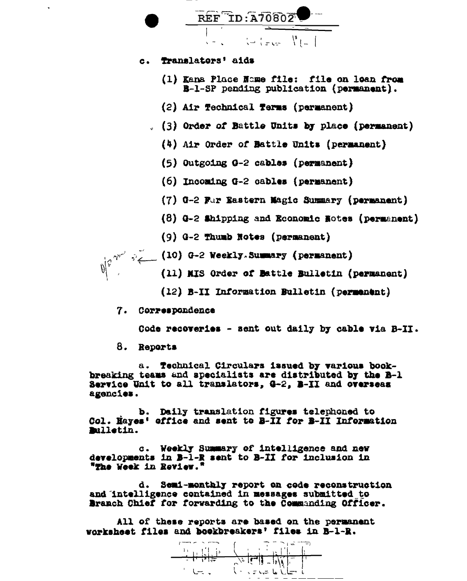

8. Reports

a. Technical Circulars issued by various bookbreaking teams and specialists are distributed by the B-1 Service Unit to all translators, G-2, B-II and overseas agencies.

b. Daily translation figures telephoned to Col. Eayes' office and sent to B-II for B-II Information miletin.

c. Weekly Summary of intelligence and new developments in B-1-R sent to B-II for inclusion in "The Week in Review."

d. Semi-monthly report on code reconstruction and intelligence contained in messages submitted to Branch Chief for forwarding to the Commanding Officer.

All of these reports are based on the permanent worksheet files and bookbreakers' files in B-1-R.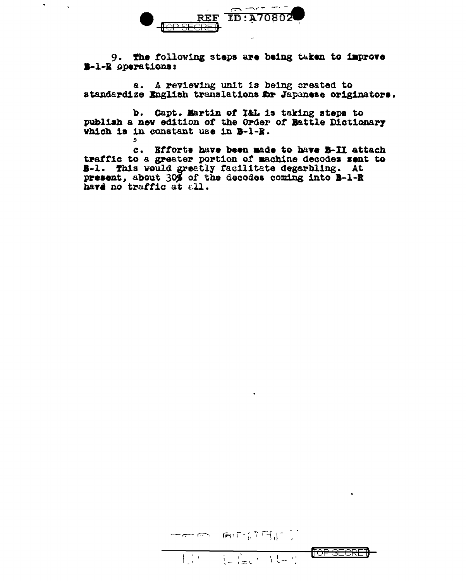

 $\mathbf{r}$ 

9. The following steps are being taken to improve B-1-R operations:

a. A reviewing unit is being created to standardize English translations Dr Japanese originators.

b. Capt. Martin of I&L is taking steps to publish a new edition of the Order of Battle Dictionary which is in constant use in B-1-R.

c. Efforts have been made to have B-II attach traffic to a greater portion of machine decodes sent to B-1. This would greatly facilitate degarbling. At present, about 30% of the decodes coming into B-1-R have no traffic at all.

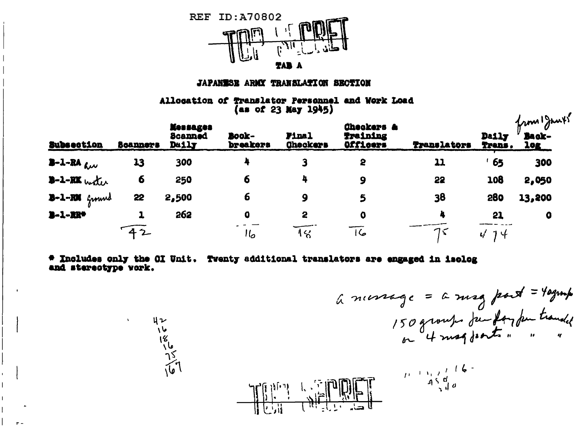

### JAPANESE ARMY TRANSLATION SECTION

Allocation of Translator Personnel and Work Load (as of 23 May 1945)

| Subsection        | <b>Scanners</b> | <b>Messages</b><br><b>Scanned</b><br>Daily | Book-<br>breakers | <b>Final</b><br><b>Checkers</b> | Checkers &<br><b>Training</b><br>Officers | <b>Translators</b> | <b>Daily</b><br>Trans.      | from Junts<br>Back-<br><b>10g</b> |
|-------------------|-----------------|--------------------------------------------|-------------------|---------------------------------|-------------------------------------------|--------------------|-----------------------------|-----------------------------------|
| $3 - 1 - RA$ aw   | 13              | 300                                        |                   |                                 | 2                                         | 11                 | 65                          | 300                               |
| $B - 1 - RK$ with | 6               | 250                                        | 6                 | 4                               | 9                                         | 22                 | 108                         | 2,050                             |
| $B-1-RM$ formed   | 22              | 2,500                                      | 6                 | 9                               |                                           | 38                 | <b>280</b>                  | 13,200                            |
| $3 - 1 - 22 +$    |                 | 262                                        | $\bf{0}$          | 2                               | O                                         |                    | 21                          | 0                                 |
|                   | $-42$           |                                            | ەال               | 1%                              | 16                                        |                    | $\mathbf{u}^{\prime}$<br>りし |                                   |

# Includes only the OI Unit. Twenty additional translators are engaged in isolog and stereotype vork.

ųν

16<br>18<br>15<br>16

à numege = a mag part = 40grap

 $\mathbf{r}$ 

**AN** 

 $\begin{array}{c}\n\begin{array}{c}\n1 & 1 & 1 \\
1 & 2 & 3 \\
1 & 4 & 5 \\
1 & 3 & 0\n\end{array}\n\end{array}$  $\mathbb{E} \left\| \mathbb{E} \left[ \mathbb{E} \left[ \mathbb{E} \right] \right] \right\|_2$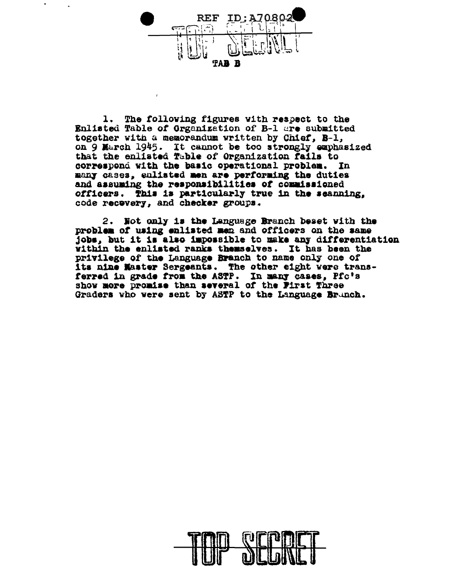

1. The following figures with respect to the Enlisted Table of Grganization of B-1 are submitted together with a memorandum written by Chief. B-1. on 9 March 1945. It cannot be too strongly emphasized that the enlisted Table of Organization fails to correspond with the basic operational problem. In many cases, enliated men are performing the duties and assuming the responsibilities of commissioned officers. This is particularly true in the seanning, code recovery. and checker groups.

2. Not only is the Language Branch beset with the problem of using enlisted men and officers on the same jobs, but it is also impossible to make any differentiation within the enlisted ranks themselves. It has been the privilege of the Language Branch to name only one of its nine Master Sergeants. The other eight were transferred in grade from the ASTP. In many cases, Pfc's show more promise than several of the First Three Graders who were sent by ASTP to the Language Brunch.